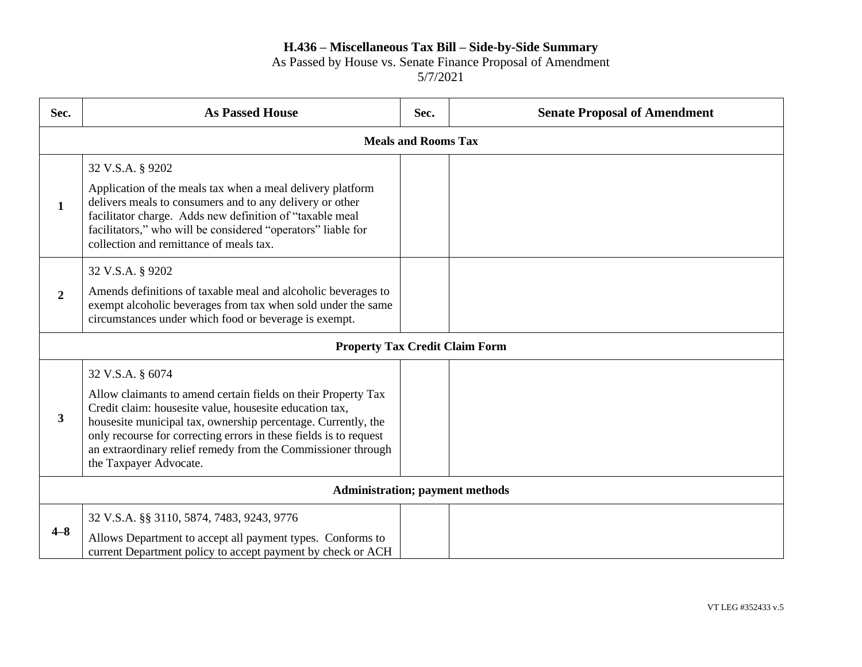## As Passed by House vs. Senate Finance Proposal of Amendment

| Sec.                                   | <b>As Passed House</b>                                                                                                                                                                                                                                                                                                                                                       | Sec. | <b>Senate Proposal of Amendment</b> |  |
|----------------------------------------|------------------------------------------------------------------------------------------------------------------------------------------------------------------------------------------------------------------------------------------------------------------------------------------------------------------------------------------------------------------------------|------|-------------------------------------|--|
|                                        | <b>Meals and Rooms Tax</b>                                                                                                                                                                                                                                                                                                                                                   |      |                                     |  |
| $\mathbf{1}$                           | 32 V.S.A. § 9202<br>Application of the meals tax when a meal delivery platform<br>delivers meals to consumers and to any delivery or other<br>facilitator charge. Adds new definition of "taxable meal<br>facilitators," who will be considered "operators" liable for<br>collection and remittance of meals tax.                                                            |      |                                     |  |
| $\overline{2}$                         | 32 V.S.A. § 9202<br>Amends definitions of taxable meal and alcoholic beverages to<br>exempt alcoholic beverages from tax when sold under the same<br>circumstances under which food or beverage is exempt.                                                                                                                                                                   |      |                                     |  |
| <b>Property Tax Credit Claim Form</b>  |                                                                                                                                                                                                                                                                                                                                                                              |      |                                     |  |
| 3                                      | 32 V.S.A. § 6074<br>Allow claimants to amend certain fields on their Property Tax<br>Credit claim: housesite value, housesite education tax,<br>housesite municipal tax, ownership percentage. Currently, the<br>only recourse for correcting errors in these fields is to request<br>an extraordinary relief remedy from the Commissioner through<br>the Taxpayer Advocate. |      |                                     |  |
| <b>Administration; payment methods</b> |                                                                                                                                                                                                                                                                                                                                                                              |      |                                     |  |
| $4 - 8$                                | 32 V.S.A. §§ 3110, 5874, 7483, 9243, 9776<br>Allows Department to accept all payment types. Conforms to<br>current Department policy to accept payment by check or ACH                                                                                                                                                                                                       |      |                                     |  |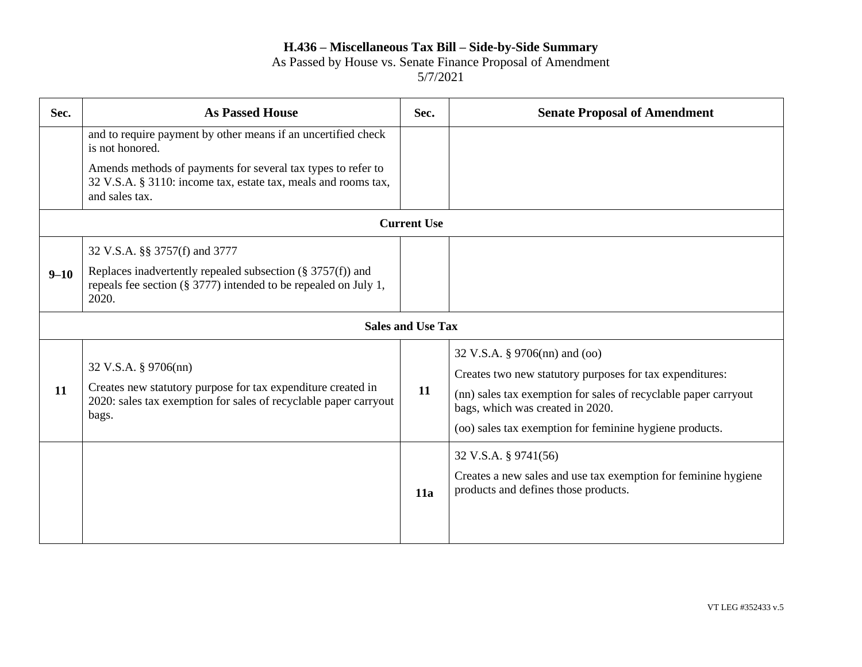As Passed by House vs. Senate Finance Proposal of Amendment

| Sec.     | <b>As Passed House</b>                                                                                                                                            | Sec. | <b>Senate Proposal of Amendment</b>                                                                                                                            |  |  |
|----------|-------------------------------------------------------------------------------------------------------------------------------------------------------------------|------|----------------------------------------------------------------------------------------------------------------------------------------------------------------|--|--|
|          | and to require payment by other means if an uncertified check<br>is not honored.                                                                                  |      |                                                                                                                                                                |  |  |
|          | Amends methods of payments for several tax types to refer to<br>32 V.S.A. § 3110: income tax, estate tax, meals and rooms tax,<br>and sales tax.                  |      |                                                                                                                                                                |  |  |
|          | <b>Current Use</b>                                                                                                                                                |      |                                                                                                                                                                |  |  |
|          | 32 V.S.A. §§ 3757(f) and 3777                                                                                                                                     |      |                                                                                                                                                                |  |  |
| $9 - 10$ | Replaces inadvertently repealed subsection ( $\S 3757(f)$ ) and<br>repeals fee section (§ 3777) intended to be repealed on July 1,<br>2020.                       |      |                                                                                                                                                                |  |  |
|          | <b>Sales and Use Tax</b>                                                                                                                                          |      |                                                                                                                                                                |  |  |
| 11       | 32 V.S.A. § 9706(nn)<br>Creates new statutory purpose for tax expenditure created in<br>2020: sales tax exemption for sales of recyclable paper carryout<br>bags. | 11   | 32 V.S.A. § 9706(nn) and (oo)<br>Creates two new statutory purposes for tax expenditures:                                                                      |  |  |
|          |                                                                                                                                                                   |      | (nn) sales tax exemption for sales of recyclable paper carryout<br>bags, which was created in 2020.<br>(oo) sales tax exemption for feminine hygiene products. |  |  |
|          |                                                                                                                                                                   | 11a  | 32 V.S.A. § 9741(56)<br>Creates a new sales and use tax exemption for feminine hygiene<br>products and defines those products.                                 |  |  |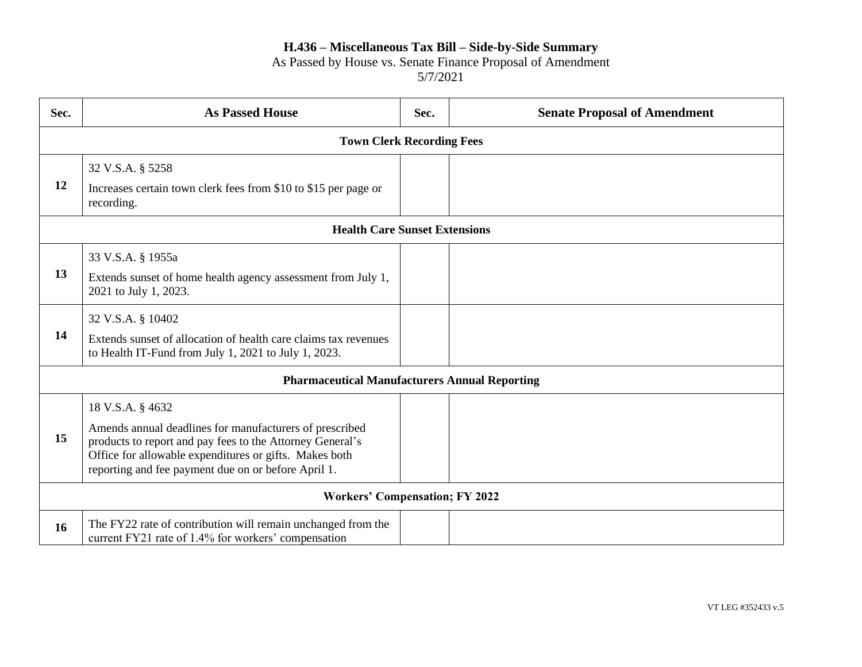#### As Passed by House vs. Senate Finance Proposal of Amendment

| Sec.                                                 | <b>As Passed House</b>                                                                                                                                                                                                                                    | Sec. | <b>Senate Proposal of Amendment</b> |  |
|------------------------------------------------------|-----------------------------------------------------------------------------------------------------------------------------------------------------------------------------------------------------------------------------------------------------------|------|-------------------------------------|--|
| <b>Town Clerk Recording Fees</b>                     |                                                                                                                                                                                                                                                           |      |                                     |  |
| 12                                                   | 32 V.S.A. § 5258<br>Increases certain town clerk fees from \$10 to \$15 per page or<br>recording.                                                                                                                                                         |      |                                     |  |
| <b>Health Care Sunset Extensions</b>                 |                                                                                                                                                                                                                                                           |      |                                     |  |
| 13                                                   | 33 V.S.A. § 1955a<br>Extends sunset of home health agency assessment from July 1,<br>2021 to July 1, 2023.                                                                                                                                                |      |                                     |  |
| 14                                                   | 32 V.S.A. § 10402<br>Extends sunset of allocation of health care claims tax revenues<br>to Health IT-Fund from July 1, 2021 to July 1, 2023.                                                                                                              |      |                                     |  |
| <b>Pharmaceutical Manufacturers Annual Reporting</b> |                                                                                                                                                                                                                                                           |      |                                     |  |
| 15                                                   | 18 V.S.A. § 4632<br>Amends annual deadlines for manufacturers of prescribed<br>products to report and pay fees to the Attorney General's<br>Office for allowable expenditures or gifts. Makes both<br>reporting and fee payment due on or before April 1. |      |                                     |  |
| <b>Workers' Compensation; FY 2022</b>                |                                                                                                                                                                                                                                                           |      |                                     |  |
| 16                                                   | The FY22 rate of contribution will remain unchanged from the<br>current FY21 rate of 1.4% for workers' compensation                                                                                                                                       |      |                                     |  |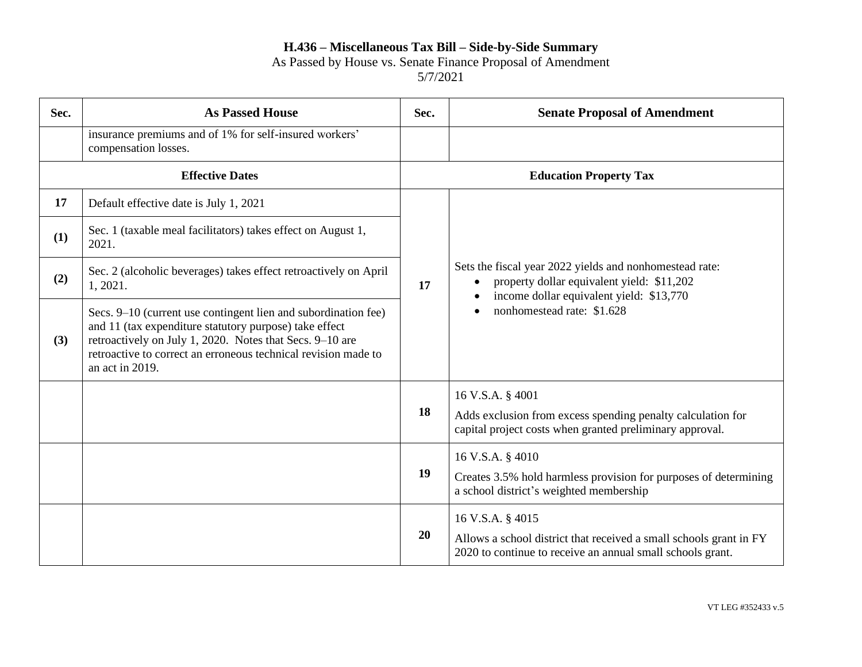As Passed by House vs. Senate Finance Proposal of Amendment

| Sec. | <b>As Passed House</b>                                                                                                                                                                                                                                                    | Sec. | <b>Senate Proposal of Amendment</b>                                                                                                                                             |
|------|---------------------------------------------------------------------------------------------------------------------------------------------------------------------------------------------------------------------------------------------------------------------------|------|---------------------------------------------------------------------------------------------------------------------------------------------------------------------------------|
|      | insurance premiums and of 1% for self-insured workers'<br>compensation losses.                                                                                                                                                                                            |      |                                                                                                                                                                                 |
|      | <b>Effective Dates</b>                                                                                                                                                                                                                                                    |      | <b>Education Property Tax</b>                                                                                                                                                   |
| 17   | Default effective date is July 1, 2021                                                                                                                                                                                                                                    | 17   | Sets the fiscal year 2022 yields and nonhomestead rate:<br>property dollar equivalent yield: \$11,202<br>income dollar equivalent yield: \$13,770<br>nonhomestead rate: \$1.628 |
| (1)  | Sec. 1 (taxable meal facilitators) takes effect on August 1,<br>2021.                                                                                                                                                                                                     |      |                                                                                                                                                                                 |
| (2)  | Sec. 2 (alcoholic beverages) takes effect retroactively on April<br>1, 2021.                                                                                                                                                                                              |      |                                                                                                                                                                                 |
| (3)  | Secs. 9–10 (current use contingent lien and subordination fee)<br>and 11 (tax expenditure statutory purpose) take effect<br>retroactively on July 1, 2020. Notes that Secs. 9-10 are<br>retroactive to correct an erroneous technical revision made to<br>an act in 2019. |      |                                                                                                                                                                                 |
|      |                                                                                                                                                                                                                                                                           |      | 16 V.S.A. § 4001                                                                                                                                                                |
|      |                                                                                                                                                                                                                                                                           | 18   | Adds exclusion from excess spending penalty calculation for<br>capital project costs when granted preliminary approval.                                                         |
|      |                                                                                                                                                                                                                                                                           |      | 16 V.S.A. § 4010                                                                                                                                                                |
|      |                                                                                                                                                                                                                                                                           | 19   | Creates 3.5% hold harmless provision for purposes of determining<br>a school district's weighted membership                                                                     |
|      |                                                                                                                                                                                                                                                                           |      | 16 V.S.A. § 4015                                                                                                                                                                |
|      |                                                                                                                                                                                                                                                                           | 20   | Allows a school district that received a small schools grant in FY<br>2020 to continue to receive an annual small schools grant.                                                |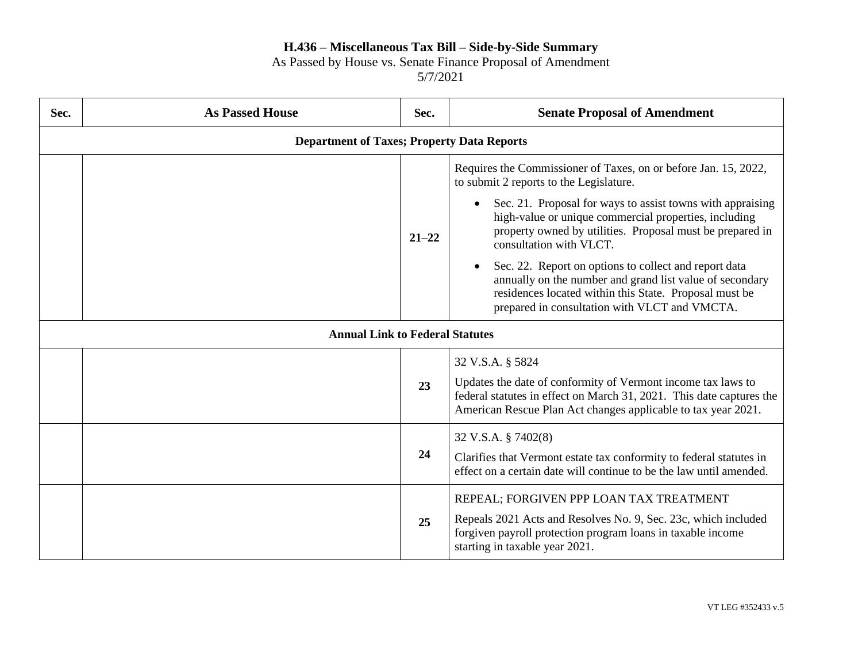# As Passed by House vs. Senate Finance Proposal of Amendment

| Sec. | <b>As Passed House</b>                            | Sec.      | <b>Senate Proposal of Amendment</b>                                                                                                                                                                                          |  |
|------|---------------------------------------------------|-----------|------------------------------------------------------------------------------------------------------------------------------------------------------------------------------------------------------------------------------|--|
|      | <b>Department of Taxes; Property Data Reports</b> |           |                                                                                                                                                                                                                              |  |
|      |                                                   |           | Requires the Commissioner of Taxes, on or before Jan. 15, 2022,<br>to submit 2 reports to the Legislature.                                                                                                                   |  |
|      |                                                   | $21 - 22$ | • Sec. 21. Proposal for ways to assist towns with appraising<br>high-value or unique commercial properties, including<br>property owned by utilities. Proposal must be prepared in<br>consultation with VLCT.                |  |
|      |                                                   |           | Sec. 22. Report on options to collect and report data<br>annually on the number and grand list value of secondary<br>residences located within this State. Proposal must be<br>prepared in consultation with VLCT and VMCTA. |  |
|      | <b>Annual Link to Federal Statutes</b>            |           |                                                                                                                                                                                                                              |  |
|      |                                                   |           | 32 V.S.A. § 5824                                                                                                                                                                                                             |  |
|      |                                                   | 23        | Updates the date of conformity of Vermont income tax laws to<br>federal statutes in effect on March 31, 2021. This date captures the<br>American Rescue Plan Act changes applicable to tax year 2021.                        |  |
|      |                                                   |           | 32 V.S.A. § 7402(8)                                                                                                                                                                                                          |  |
|      |                                                   | 24        | Clarifies that Vermont estate tax conformity to federal statutes in<br>effect on a certain date will continue to be the law until amended.                                                                                   |  |
|      |                                                   | 25        | REPEAL; FORGIVEN PPP LOAN TAX TREATMENT<br>Repeals 2021 Acts and Resolves No. 9, Sec. 23c, which included<br>forgiven payroll protection program loans in taxable income<br>starting in taxable year 2021.                   |  |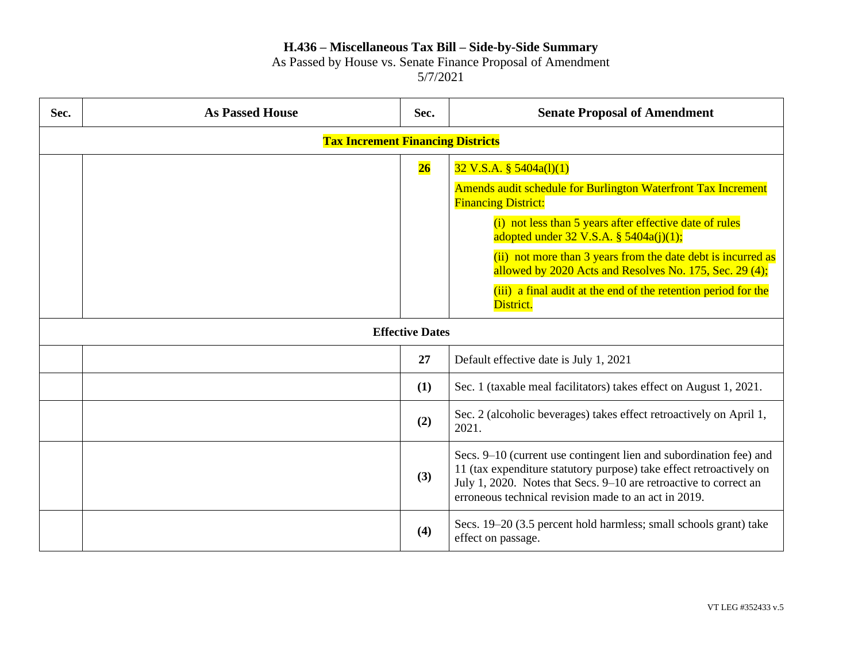As Passed by House vs. Senate Finance Proposal of Amendment

| Sec. | <b>As Passed House</b>                   | Sec. | <b>Senate Proposal of Amendment</b>                                                                                                                                                                                                                                    |  |  |
|------|------------------------------------------|------|------------------------------------------------------------------------------------------------------------------------------------------------------------------------------------------------------------------------------------------------------------------------|--|--|
|      | <b>Tax Increment Financing Districts</b> |      |                                                                                                                                                                                                                                                                        |  |  |
|      |                                          | 26   | $32 \text{ V.S.A. }$ § 5404a(1)(1)                                                                                                                                                                                                                                     |  |  |
|      |                                          |      | Amends audit schedule for Burlington Waterfront Tax Increment<br><b>Financing District:</b>                                                                                                                                                                            |  |  |
|      |                                          |      | (i) not less than 5 years after effective date of rules<br>adopted under $32 \text{ V.S.A. }$ § $5404a(j)(1);$                                                                                                                                                         |  |  |
|      |                                          |      | (ii) not more than 3 years from the date debt is incurred as<br>allowed by 2020 Acts and Resolves No. 175, Sec. 29 (4);                                                                                                                                                |  |  |
|      |                                          |      | (iii) a final audit at the end of the retention period for the<br>District.                                                                                                                                                                                            |  |  |
|      | <b>Effective Dates</b>                   |      |                                                                                                                                                                                                                                                                        |  |  |
|      |                                          | 27   | Default effective date is July 1, 2021                                                                                                                                                                                                                                 |  |  |
|      |                                          | (1)  | Sec. 1 (taxable meal facilitators) takes effect on August 1, 2021.                                                                                                                                                                                                     |  |  |
|      |                                          | (2)  | Sec. 2 (alcoholic beverages) takes effect retroactively on April 1,<br>2021.                                                                                                                                                                                           |  |  |
|      |                                          | (3)  | Secs. 9-10 (current use contingent lien and subordination fee) and<br>11 (tax expenditure statutory purpose) take effect retroactively on<br>July 1, 2020. Notes that Secs. 9-10 are retroactive to correct an<br>erroneous technical revision made to an act in 2019. |  |  |
|      |                                          | (4)  | Secs. 19–20 (3.5 percent hold harmless; small schools grant) take<br>effect on passage.                                                                                                                                                                                |  |  |